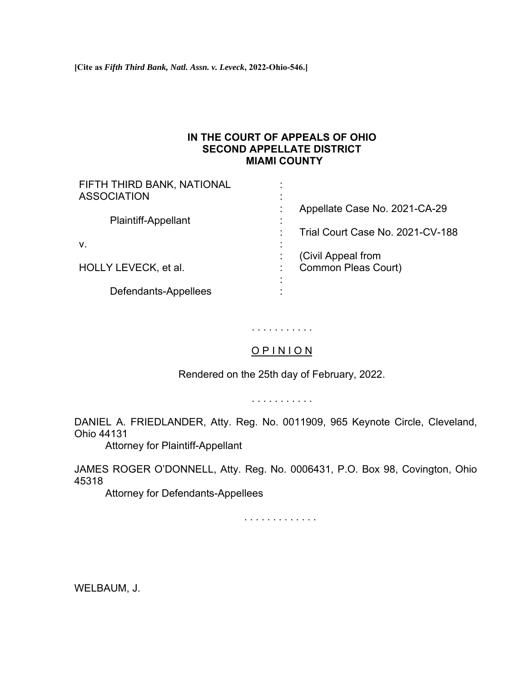**[Cite as** *Fifth Third Bank, Natl. Assn. v. Leveck***, 2022-Ohio-546.]**

## **IN THE COURT OF APPEALS OF OHIO SECOND APPELLATE DISTRICT MIAMI COUNTY**

| FIFTH THIRD BANK, NATIONAL |                                  |
|----------------------------|----------------------------------|
| <b>ASSOCIATION</b>         | Appellate Case No. 2021-CA-29    |
| <b>Plaintiff-Appellant</b> |                                  |
|                            | Trial Court Case No. 2021-CV-188 |
| V.                         | (Civil Appeal from               |
| HOLLY LEVECK, et al.       | <b>Common Pleas Court)</b>       |
|                            |                                  |
| Defendants-Appellees       |                                  |

# . . . . . . . . . . .

## O P I N I O N

Rendered on the 25th day of February, 2022.

. . . . . . . . . . .

DANIEL A. FRIEDLANDER, Atty. Reg. No. 0011909, 965 Keynote Circle, Cleveland, Ohio 44131

Attorney for Plaintiff-Appellant

JAMES ROGER O'DONNELL, Atty. Reg. No. 0006431, P.O. Box 98, Covington, Ohio 45318

Attorney for Defendants-Appellees

. . . . . . . . . . . . .

WELBAUM, J.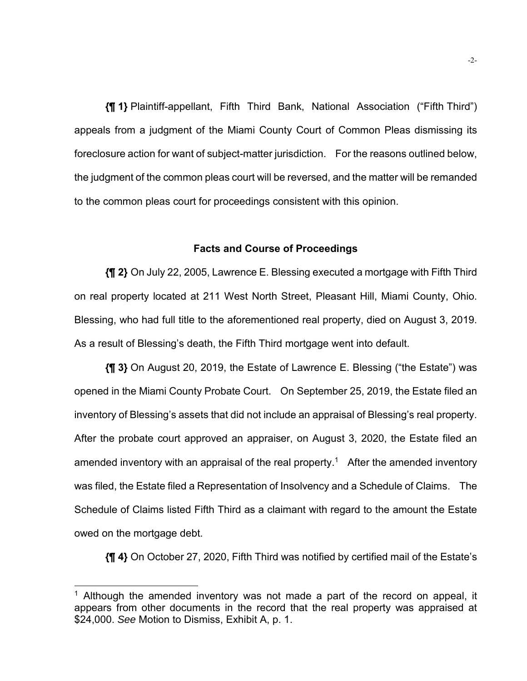**{¶ 1}** Plaintiff-appellant, Fifth Third Bank, National Association ("Fifth Third") appeals from a judgment of the Miami County Court of Common Pleas dismissing its foreclosure action for want of subject-matter jurisdiction. For the reasons outlined below, the judgment of the common pleas court will be reversed, and the matter will be remanded to the common pleas court for proceedings consistent with this opinion.

### **Facts and Course of Proceedings**

**{¶ 2}** On July 22, 2005, Lawrence E. Blessing executed a mortgage with Fifth Third on real property located at 211 West North Street, Pleasant Hill, Miami County, Ohio. Blessing, who had full title to the aforementioned real property, died on August 3, 2019. As a result of Blessing's death, the Fifth Third mortgage went into default.

**{¶ 3}** On August 20, 2019, the Estate of Lawrence E. Blessing ("the Estate") was opened in the Miami County Probate Court. On September 25, 2019, the Estate filed an inventory of Blessing's assets that did not include an appraisal of Blessing's real property. After the probate court approved an appraiser, on August 3, 2020, the Estate filed an amended inventory with an appraisal of the real property.<sup>1</sup> After the amended inventory was filed, the Estate filed a Representation of Insolvency and a Schedule of Claims. The Schedule of Claims listed Fifth Third as a claimant with regard to the amount the Estate owed on the mortgage debt.

**{¶ 4}** On October 27, 2020, Fifth Third was notified by certified mail of the Estate's

<sup>&</sup>lt;sup>1</sup> Although the amended inventory was not made a part of the record on appeal, it appears from other documents in the record that the real property was appraised at \$24,000. *See* Motion to Dismiss, Exhibit A, p. 1.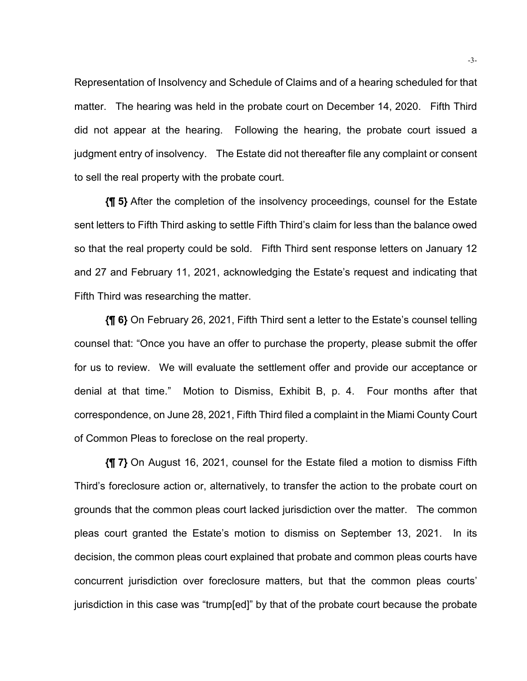Representation of Insolvency and Schedule of Claims and of a hearing scheduled for that matter. The hearing was held in the probate court on December 14, 2020. Fifth Third did not appear at the hearing. Following the hearing, the probate court issued a judgment entry of insolvency. The Estate did not thereafter file any complaint or consent to sell the real property with the probate court.

**{¶ 5}** After the completion of the insolvency proceedings, counsel for the Estate sent letters to Fifth Third asking to settle Fifth Third's claim for less than the balance owed so that the real property could be sold. Fifth Third sent response letters on January 12 and 27 and February 11, 2021, acknowledging the Estate's request and indicating that Fifth Third was researching the matter.

**{¶ 6}** On February 26, 2021, Fifth Third sent a letter to the Estate's counsel telling counsel that: "Once you have an offer to purchase the property, please submit the offer for us to review. We will evaluate the settlement offer and provide our acceptance or denial at that time." Motion to Dismiss, Exhibit B, p. 4. Four months after that correspondence, on June 28, 2021, Fifth Third filed a complaint in the Miami County Court of Common Pleas to foreclose on the real property.

**{¶ 7}** On August 16, 2021, counsel for the Estate filed a motion to dismiss Fifth Third's foreclosure action or, alternatively, to transfer the action to the probate court on grounds that the common pleas court lacked jurisdiction over the matter. The common pleas court granted the Estate's motion to dismiss on September 13, 2021. In its decision, the common pleas court explained that probate and common pleas courts have concurrent jurisdiction over foreclosure matters, but that the common pleas courts' jurisdiction in this case was "trump[ed]" by that of the probate court because the probate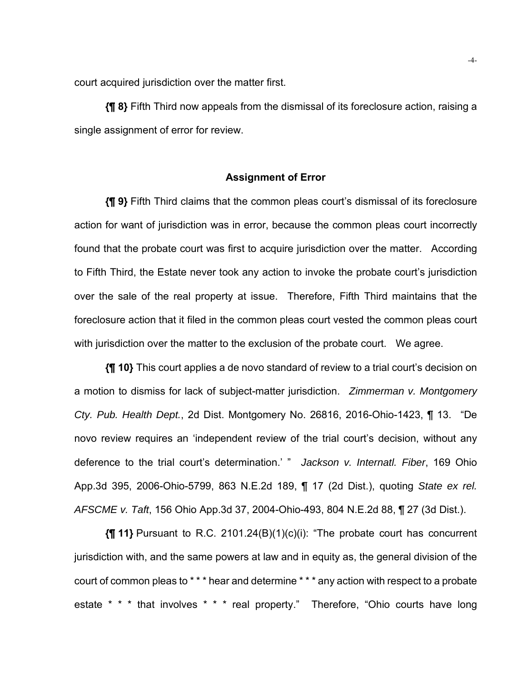court acquired jurisdiction over the matter first.

**{¶ 8}** Fifth Third now appeals from the dismissal of its foreclosure action, raising a single assignment of error for review.

#### **Assignment of Error**

**{¶ 9}** Fifth Third claims that the common pleas court's dismissal of its foreclosure action for want of jurisdiction was in error, because the common pleas court incorrectly found that the probate court was first to acquire jurisdiction over the matter. According to Fifth Third, the Estate never took any action to invoke the probate court's jurisdiction over the sale of the real property at issue. Therefore, Fifth Third maintains that the foreclosure action that it filed in the common pleas court vested the common pleas court with jurisdiction over the matter to the exclusion of the probate court. We agree.

**{¶ 10}** This court applies a de novo standard of review to a trial court's decision on a motion to dismiss for lack of subject-matter jurisdiction. *Zimmerman v. Montgomery Cty. Pub. Health Dept.*, 2d Dist. Montgomery No. 26816, 2016-Ohio-1423, ¶ 13. "De novo review requires an 'independent review of the trial court's decision, without any deference to the trial court's determination.' " *Jackson v. Internatl. Fiber*, 169 Ohio App.3d 395, 2006-Ohio-5799, 863 N.E.2d 189, ¶ 17 (2d Dist.), quoting *State ex rel. AFSCME v. Taft*, 156 Ohio App.3d 37, 2004-Ohio-493, 804 N.E.2d 88, ¶ 27 (3d Dist.).

**{¶ 11}** Pursuant to R.C. 2101.24(B)(1)(c)(i): "The probate court has concurrent jurisdiction with, and the same powers at law and in equity as, the general division of the court of common pleas to \* \* \* hear and determine \* \* \* any action with respect to a probate estate \* \* \* that involves \* \* \* real property." Therefore, "Ohio courts have long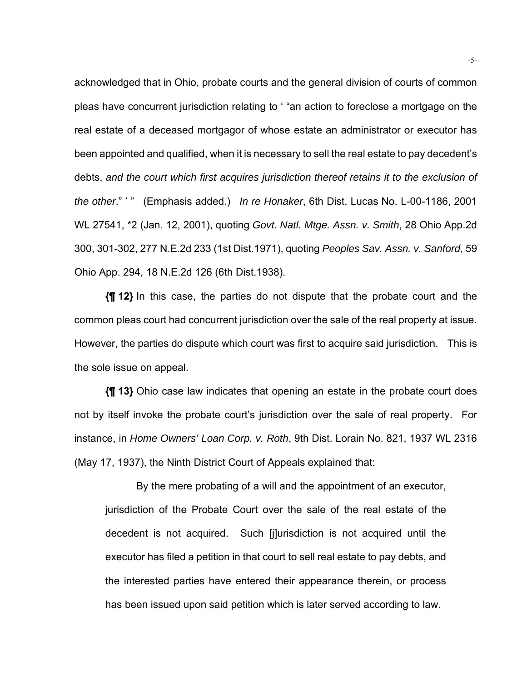acknowledged that in Ohio, probate courts and the general division of courts of common pleas have concurrent jurisdiction relating to ' "an action to foreclose a mortgage on the real estate of a deceased mortgagor of whose estate an administrator or executor has been appointed and qualified, when it is necessary to sell the real estate to pay decedent's debts, *and the court which first acquires jurisdiction thereof retains it to the exclusion of the other*." ' " (Emphasis added.) *In re Honaker*, 6th Dist. Lucas No. L-00-1186, 2001 WL 27541, \*2 (Jan. 12, 2001), quoting *Govt. Natl. Mtge. Assn. v. Smith*, 28 Ohio App.2d 300, 301-302, 277 N.E.2d 233 (1st Dist.1971), quoting *Peoples Sav. Assn. v. Sanford*, 59 Ohio App. 294, 18 N.E.2d 126 (6th Dist.1938).

**{¶ 12}** In this case, the parties do not dispute that the probate court and the common pleas court had concurrent jurisdiction over the sale of the real property at issue. However, the parties do dispute which court was first to acquire said jurisdiction. This is the sole issue on appeal.

**{¶ 13}** Ohio case law indicates that opening an estate in the probate court does not by itself invoke the probate court's jurisdiction over the sale of real property. For instance, in *Home Owners' Loan Corp. v. Roth*, 9th Dist. Lorain No. 821, 1937 WL 2316 (May 17, 1937), the Ninth District Court of Appeals explained that:

By the mere probating of a will and the appointment of an executor, jurisdiction of the Probate Court over the sale of the real estate of the decedent is not acquired. Such [j]urisdiction is not acquired until the executor has filed a petition in that court to sell real estate to pay debts, and the interested parties have entered their appearance therein, or process has been issued upon said petition which is later served according to law.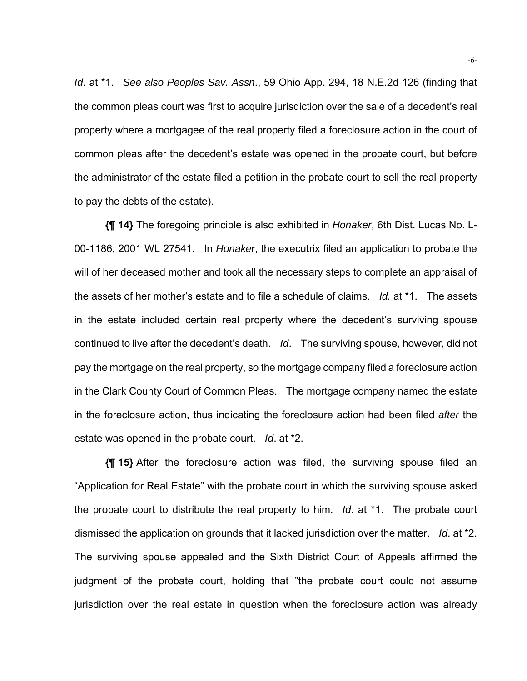*Id*. at \*1. *See also Peoples Sav. Assn*., 59 Ohio App. 294, 18 N.E.2d 126 (finding that the common pleas court was first to acquire jurisdiction over the sale of a decedent's real property where a mortgagee of the real property filed a foreclosure action in the court of common pleas after the decedent's estate was opened in the probate court, but before the administrator of the estate filed a petition in the probate court to sell the real property to pay the debts of the estate).

**{¶ 14}** The foregoing principle is also exhibited in *Honaker*, 6th Dist. Lucas No. L-00-1186, 2001 WL 27541. In *Honake*r, the executrix filed an application to probate the will of her deceased mother and took all the necessary steps to complete an appraisal of the assets of her mother's estate and to file a schedule of claims. *Id.* at \*1. The assets in the estate included certain real property where the decedent's surviving spouse continued to live after the decedent's death. *Id*. The surviving spouse, however, did not pay the mortgage on the real property, so the mortgage company filed a foreclosure action in the Clark County Court of Common Pleas. The mortgage company named the estate in the foreclosure action, thus indicating the foreclosure action had been filed *after* the estate was opened in the probate court. *Id*. at \*2.

**{¶ 15}** After the foreclosure action was filed, the surviving spouse filed an "Application for Real Estate" with the probate court in which the surviving spouse asked the probate court to distribute the real property to him. *Id*. at \*1. The probate court dismissed the application on grounds that it lacked jurisdiction over the matter. *Id*. at \*2. The surviving spouse appealed and the Sixth District Court of Appeals affirmed the judgment of the probate court, holding that "the probate court could not assume jurisdiction over the real estate in question when the foreclosure action was already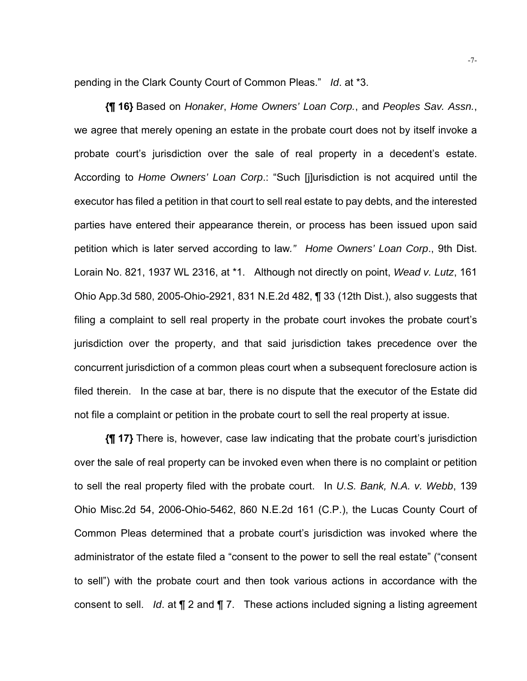pending in the Clark County Court of Common Pleas." *Id*. at \*3.

**{¶ 16}** Based on *Honaker*, *Home Owners' Loan Corp.*, and *Peoples Sav. Assn.*, we agree that merely opening an estate in the probate court does not by itself invoke a probate court's jurisdiction over the sale of real property in a decedent's estate. According to *Home Owners' Loan Corp*.: "Such [j]urisdiction is not acquired until the executor has filed a petition in that court to sell real estate to pay debts, and the interested parties have entered their appearance therein, or process has been issued upon said petition which is later served according to law*." Home Owners' Loan Corp*., 9th Dist. Lorain No. 821, 1937 WL 2316, at \*1. Although not directly on point, *Wead v. Lutz*, 161 Ohio App.3d 580, 2005-Ohio-2921, 831 N.E.2d 482, ¶ 33 (12th Dist.), also suggests that filing a complaint to sell real property in the probate court invokes the probate court's jurisdiction over the property, and that said jurisdiction takes precedence over the concurrent jurisdiction of a common pleas court when a subsequent foreclosure action is filed therein. In the case at bar, there is no dispute that the executor of the Estate did not file a complaint or petition in the probate court to sell the real property at issue.

**{¶ 17}** There is, however, case law indicating that the probate court's jurisdiction over the sale of real property can be invoked even when there is no complaint or petition to sell the real property filed with the probate court. In *U.S. Bank, N.A. v. Webb*, 139 Ohio Misc.2d 54, 2006-Ohio-5462, 860 N.E.2d 161 (C.P.), the Lucas County Court of Common Pleas determined that a probate court's jurisdiction was invoked where the administrator of the estate filed a "consent to the power to sell the real estate" ("consent to sell") with the probate court and then took various actions in accordance with the consent to sell. *Id*. at ¶ 2 and ¶ 7. These actions included signing a listing agreement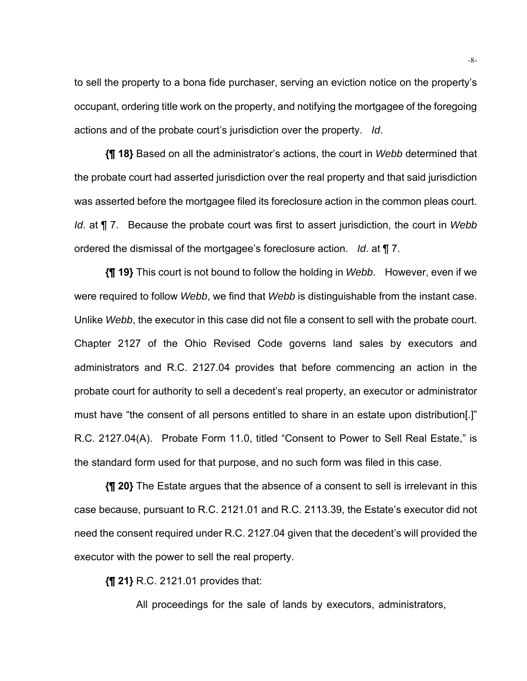to sell the property to a bona fide purchaser, serving an eviction notice on the property's occupant, ordering title work on the property, and notifying the mortgagee of the foregoing actions and of the probate court's jurisdiction over the property. *Id*.

**{¶ 18}** Based on all the administrator's actions, the court in *Webb* determined that the probate court had asserted jurisdiction over the real property and that said jurisdiction was asserted before the mortgagee filed its foreclosure action in the common pleas court. *Id*. at ¶ 7. Because the probate court was first to assert jurisdiction, the court in *Webb*  ordered the dismissal of the mortgagee's foreclosure action. *Id*. at ¶ 7.

**{¶ 19}** This court is not bound to follow the holding in *Webb*. However, even if we were required to follow *Webb*, we find that *Webb* is distinguishable from the instant case. Unlike *Webb*, the executor in this case did not file a consent to sell with the probate court. Chapter 2127 of the Ohio Revised Code governs land sales by executors and administrators and R.C. 2127.04 provides that before commencing an action in the probate court for authority to sell a decedent's real property, an executor or administrator must have "the consent of all persons entitled to share in an estate upon distribution[.]" R.C. 2127.04(A). Probate Form 11.0, titled "Consent to Power to Sell Real Estate," is the standard form used for that purpose, and no such form was filed in this case.

**{¶ 20}** The Estate argues that the absence of a consent to sell is irrelevant in this case because, pursuant to R.C. 2121.01 and R.C. 2113.39, the Estate's executor did not need the consent required under R.C. 2127.04 given that the decedent's will provided the executor with the power to sell the real property.

**{¶ 21}** R.C. 2121.01 provides that:

All proceedings for the sale of lands by executors, administrators,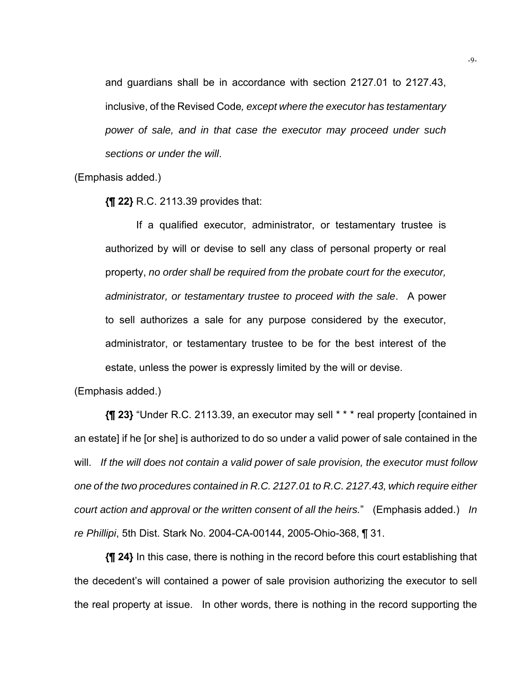and guardians shall be in accordance with section 2127.01 to 2127.43, inclusive, of the Revised Code*, except where the executor has testamentary power of sale, and in that case the executor may proceed under such sections or under the will*.

(Emphasis added.)

**{¶ 22}** R.C. 2113.39 provides that:

If a qualified executor, administrator, or testamentary trustee is authorized by will or devise to sell any class of personal property or real property, *no order shall be required from the probate court for the executor, administrator, or testamentary trustee to proceed with the sale*. A power to sell authorizes a sale for any purpose considered by the executor, administrator, or testamentary trustee to be for the best interest of the estate, unless the power is expressly limited by the will or devise.

(Emphasis added.)

**{¶ 23}** "Under R.C. 2113.39, an executor may sell \* \* \* real property [contained in an estate] if he [or she] is authorized to do so under a valid power of sale contained in the will. *If the will does not contain a valid power of sale provision, the executor must follow one of the two procedures contained in R.C. 2127.01 to R.C. 2127.43, which require either court action and approval or the written consent of all the heirs.*" (Emphasis added.) *In re Phillipi*, 5th Dist. Stark No. 2004-CA-00144, 2005-Ohio-368, ¶ 31.

**{¶ 24}** In this case, there is nothing in the record before this court establishing that the decedent's will contained a power of sale provision authorizing the executor to sell the real property at issue. In other words, there is nothing in the record supporting the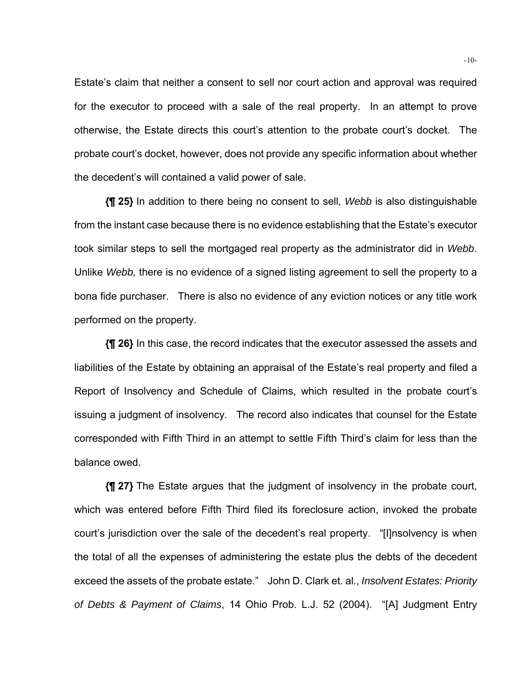Estate's claim that neither a consent to sell nor court action and approval was required for the executor to proceed with a sale of the real property. In an attempt to prove otherwise, the Estate directs this court's attention to the probate court's docket. The probate court's docket, however, does not provide any specific information about whether the decedent's will contained a valid power of sale.

**{¶ 25}** In addition to there being no consent to sell*, Webb* is also distinguishable from the instant case because there is no evidence establishing that the Estate's executor took similar steps to sell the mortgaged real property as the administrator did in *Webb*. Unlike *Webb,* there is no evidence of a signed listing agreement to sell the property to a bona fide purchaser. There is also no evidence of any eviction notices or any title work performed on the property.

**{¶ 26}** In this case, the record indicates that the executor assessed the assets and liabilities of the Estate by obtaining an appraisal of the Estate's real property and filed a Report of Insolvency and Schedule of Claims, which resulted in the probate court's issuing a judgment of insolvency. The record also indicates that counsel for the Estate corresponded with Fifth Third in an attempt to settle Fifth Third's claim for less than the balance owed.

**{¶ 27}** The Estate argues that the judgment of insolvency in the probate court, which was entered before Fifth Third filed its foreclosure action, invoked the probate court's jurisdiction over the sale of the decedent's real property. "[I]nsolvency is when the total of all the expenses of administering the estate plus the debts of the decedent exceed the assets of the probate estate." John D. Clark et. al., *Insolvent Estates: Priority of Debts & Payment of Claims*, 14 Ohio Prob. L.J. 52 (2004). "[A] Judgment Entry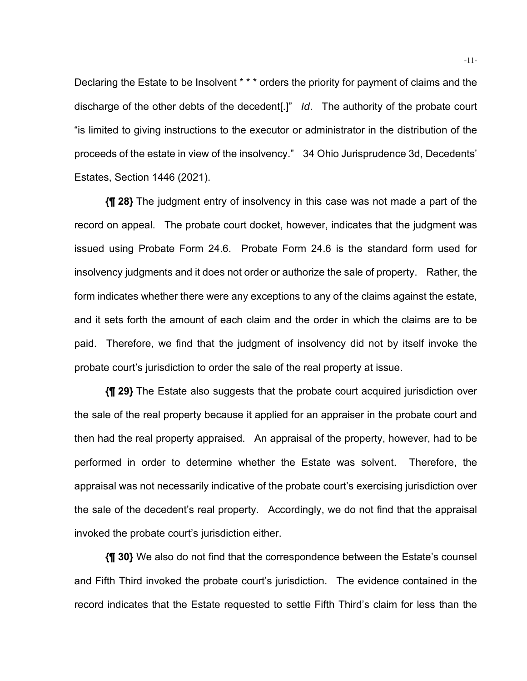Declaring the Estate to be Insolvent \* \* \* orders the priority for payment of claims and the discharge of the other debts of the decedent[.]" *Id*. The authority of the probate court "is limited to giving instructions to the executor or administrator in the distribution of the proceeds of the estate in view of the insolvency." 34 Ohio Jurisprudence 3d, Decedents' Estates, Section 1446 (2021).

**{¶ 28}** The judgment entry of insolvency in this case was not made a part of the record on appeal. The probate court docket, however, indicates that the judgment was issued using Probate Form 24.6. Probate Form 24.6 is the standard form used for insolvency judgments and it does not order or authorize the sale of property. Rather, the form indicates whether there were any exceptions to any of the claims against the estate, and it sets forth the amount of each claim and the order in which the claims are to be paid. Therefore, we find that the judgment of insolvency did not by itself invoke the probate court's jurisdiction to order the sale of the real property at issue.

**{¶ 29}** The Estate also suggests that the probate court acquired jurisdiction over the sale of the real property because it applied for an appraiser in the probate court and then had the real property appraised. An appraisal of the property, however, had to be performed in order to determine whether the Estate was solvent. Therefore, the appraisal was not necessarily indicative of the probate court's exercising jurisdiction over the sale of the decedent's real property. Accordingly, we do not find that the appraisal invoked the probate court's jurisdiction either.

**{¶ 30}** We also do not find that the correspondence between the Estate's counsel and Fifth Third invoked the probate court's jurisdiction. The evidence contained in the record indicates that the Estate requested to settle Fifth Third's claim for less than the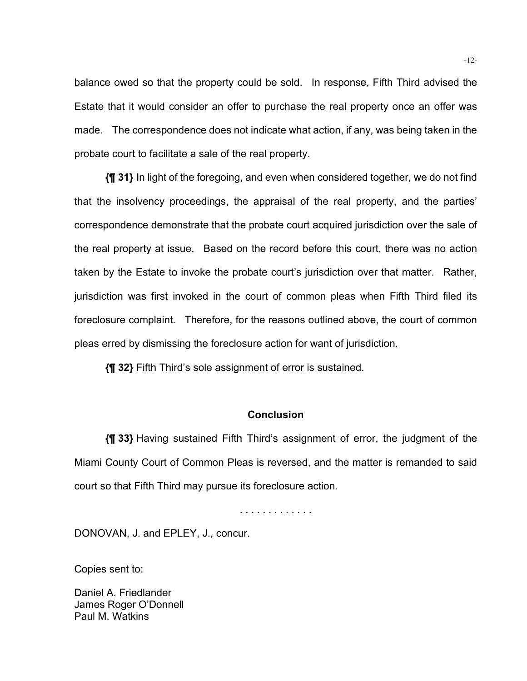balance owed so that the property could be sold. In response, Fifth Third advised the Estate that it would consider an offer to purchase the real property once an offer was made. The correspondence does not indicate what action, if any, was being taken in the probate court to facilitate a sale of the real property.

**{¶ 31}** In light of the foregoing, and even when considered together, we do not find that the insolvency proceedings, the appraisal of the real property, and the parties' correspondence demonstrate that the probate court acquired jurisdiction over the sale of the real property at issue. Based on the record before this court, there was no action taken by the Estate to invoke the probate court's jurisdiction over that matter. Rather, jurisdiction was first invoked in the court of common pleas when Fifth Third filed its foreclosure complaint. Therefore, for the reasons outlined above, the court of common pleas erred by dismissing the foreclosure action for want of jurisdiction.

**{¶ 32}** Fifth Third's sole assignment of error is sustained.

### **Conclusion**

**{¶ 33}** Having sustained Fifth Third's assignment of error, the judgment of the Miami County Court of Common Pleas is reversed, and the matter is remanded to said court so that Fifth Third may pursue its foreclosure action.

. . . . . . . . . . . . .

DONOVAN, J. and EPLEY, J., concur.

Copies sent to:

Daniel A. Friedlander James Roger O'Donnell Paul M. Watkins